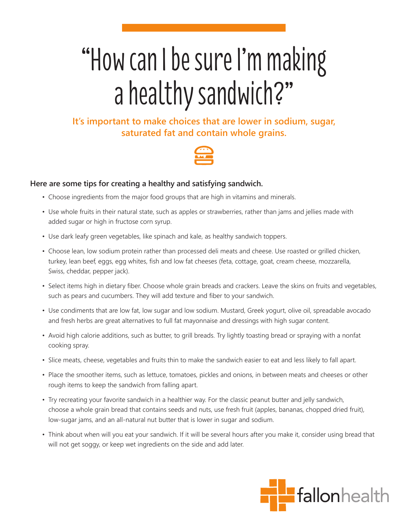## "How can I be sure I'm making a healthy sandwich?"

## **It's important to make choices that are lower in sodium, sugar, saturated fat and contain whole grains.**



## **Here are some tips for creating a healthy and satisfying sandwich.**

- Choose ingredients from the major food groups that are high in vitamins and minerals.
- Use whole fruits in their natural state, such as apples or strawberries, rather than jams and jellies made with added sugar or high in fructose corn syrup.
- Use dark leafy green vegetables, like spinach and kale, as healthy sandwich toppers.
- Choose lean, low sodium protein rather than processed deli meats and cheese. Use roasted or grilled chicken, turkey, lean beef, eggs, egg whites, fish and low fat cheeses (feta, cottage, goat, cream cheese, mozzarella, Swiss, cheddar, pepper jack).
- Select items high in dietary fiber. Choose whole grain breads and crackers. Leave the skins on fruits and vegetables, such as pears and cucumbers. They will add texture and fiber to your sandwich.
- Use condiments that are low fat, low sugar and low sodium. Mustard, Greek yogurt, olive oil, spreadable avocado and fresh herbs are great alternatives to full fat mayonnaise and dressings with high sugar content.
- Avoid high calorie additions, such as butter, to grill breads. Try lightly toasting bread or spraying with a nonfat cooking spray.
- Slice meats, cheese, vegetables and fruits thin to make the sandwich easier to eat and less likely to fall apart.
- Place the smoother items, such as lettuce, tomatoes, pickles and onions, in between meats and cheeses or other rough items to keep the sandwich from falling apart.
- Try recreating your favorite sandwich in a healthier way. For the classic peanut butter and jelly sandwich, choose a whole grain bread that contains seeds and nuts, use fresh fruit (apples, bananas, chopped dried fruit), low-sugar jams, and an all-natural nut butter that is lower in sugar and sodium.
- Think about when will you eat your sandwich. If it will be several hours after you make it, consider using bread that will not get soggy, or keep wet ingredients on the side and add later.